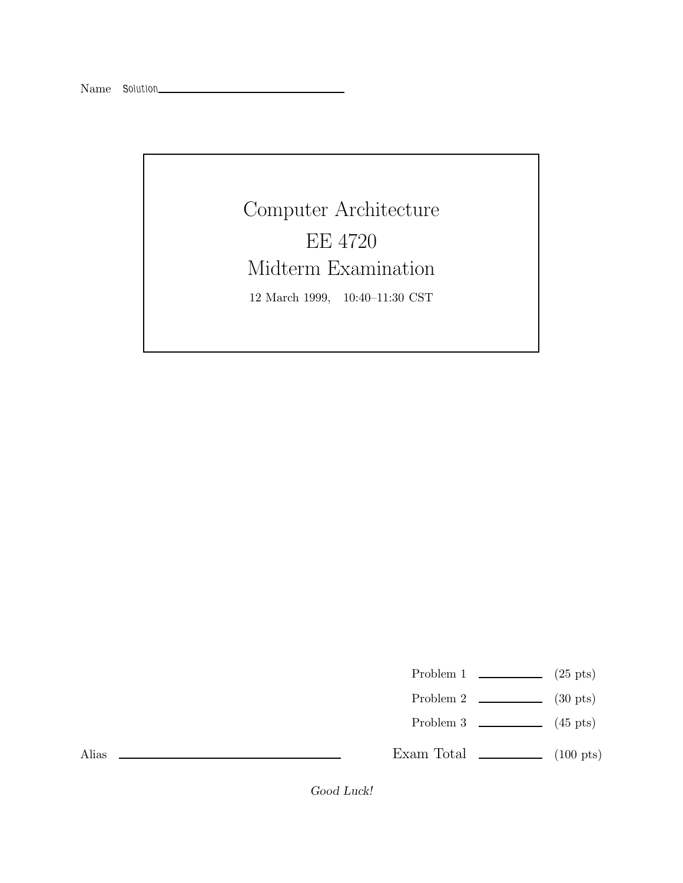Computer Architecture EE 4720 Midterm Examination 12 March 1999, 10:40–11:30 CST

Problem 1  $\qquad \qquad$  (25 pts)

- Problem 2  $\qquad \qquad$  (30 pts)
- Problem 3  $\qquad \qquad$  (45 pts)

Exam Total  $\qquad \qquad$  (100 pts)

Alias

*Good Luck!*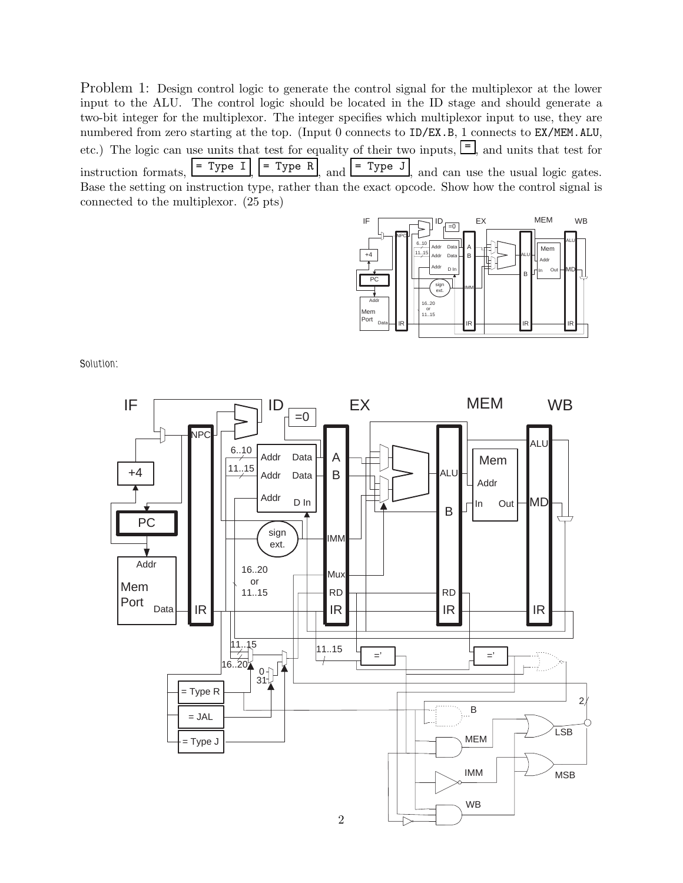Problem 1: Design control logic to generate the control signal for the multiplexor at the lower input to the ALU. The control logic should be located in the ID stage and should generate a two-bit integer for the multiplexor. The integer specifies which multiplexor input to use, they are numbered from zero starting at the top. (Input 0 connects to ID/EX.B, 1 connects to EX/MEM.ALU, etc.) The logic can use units that test for equality of their two inputs,  $\equiv$ , and units that test for instruction formats,  $\begin{bmatrix} = \text{Type I} \end{bmatrix}$  = Type R, and  $\begin{bmatrix} = \text{Type J} \end{bmatrix}$  and can use the usual logic gates. Base the setting on instruction type, rather than the exact opcode. Show how the control signal is connected to the multiplexor. (25 pts)



*Solution:*

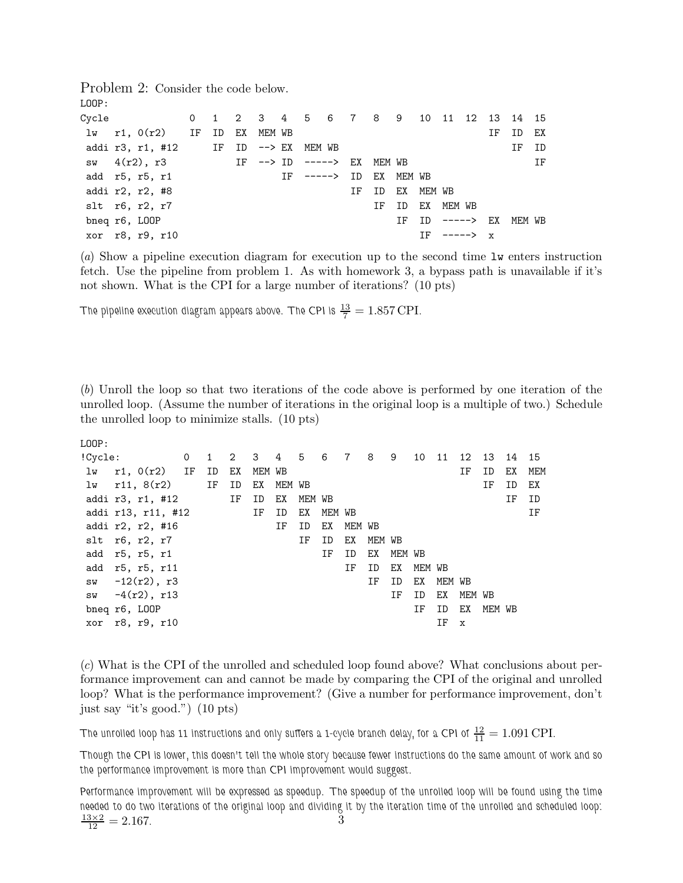Problem 2: Consider the code below. LOOP:

| Cycle 0 1 2 3 4 5 6 7 8 9 10 11 12 13 14 15      |  |  |                       |  |                 |  |                        |    |       |    |
|--------------------------------------------------|--|--|-----------------------|--|-----------------|--|------------------------|----|-------|----|
| $1w$ r1, $0(r2)$ IF ID EX MEM WB                 |  |  |                       |  |                 |  |                        | IF | ID EX |    |
| addi r3, r1, #12 $IF$ ID $\rightarrow$ EX MEM WB |  |  |                       |  |                 |  |                        |    | IF ID |    |
| sw $4(r2)$ , r3 IF --> ID -----> EX              |  |  |                       |  | MEM WB          |  |                        |    |       | ΙF |
| add r5, r5, r1                                   |  |  | IF -----> ID EX MEMWB |  |                 |  |                        |    |       |    |
| addi r2, r2, #8                                  |  |  |                       |  | IF ID EX MEM WB |  |                        |    |       |    |
| slt r6, r2, r7                                   |  |  |                       |  |                 |  | IF ID EX MEM WB        |    |       |    |
| bneq r6, LOOP                                    |  |  |                       |  |                 |  | IF ID -----> EX MEM WB |    |       |    |
| xor r8, r9, r10                                  |  |  |                       |  |                 |  | $TF$ -----> $x$        |    |       |    |

(a) Show a pipeline execution diagram for execution up to the second time lw enters instruction fetch. Use the pipeline from problem 1. As with homework 3, a bypass path is unavailable if it's not shown. What is the CPI for a large number of iterations? (10 pts)

The pipeline execution diagram appears above. The CPI is  $\frac{13}{7} = 1.857 \,\mathrm{CPI}.$ 

(b) Unroll the loop so that two iterations of the code above is performed by one iteration of the unrolled loop. (Assume the number of iterations in the original loop is a multiple of two.) Schedule the unrolled loop to minimize stalls. (10 pts)

| ۰.<br>× | ۰. |  |
|---------|----|--|
|         |    |  |

| !Cycle:       |                    |       | 0 1 2 3 4 5 6 7 8 |        |        |     |        |        |     | 9      | 10 11  |        | 12          | 13     | 14 | 15  |
|---------------|--------------------|-------|-------------------|--------|--------|-----|--------|--------|-----|--------|--------|--------|-------------|--------|----|-----|
| lw            | r1, 0(r2) IF       | ID    | EX                | MEM WB |        |     |        |        |     |        |        |        | ΙF          | ID     | EX | MEM |
| lw            | r11, 8(r2)         | IF ID |                   | EX     | MEM WB |     |        |        |     |        |        |        |             | ΙF     | ID | ΕX  |
|               | addi r3, r1, #12   |       | IF                | ID     | EX     | MEM | WB     |        |     |        |        |        |             |        | ΙF | ID  |
|               | addi r13, r11, #12 |       |                   | IF     | ID     | EX  | MEM WB |        |     |        |        |        |             |        |    | ΙF  |
|               | addi r2, r2, #16   |       |                   |        | ΙF     | ID  | EX     | MEM WB |     |        |        |        |             |        |    |     |
|               | $slt$ r6, r2, r7   |       |                   |        |        | ΙF  | ID     | EX     | MEM | WB     |        |        |             |        |    |     |
|               | add r5, r5, r1     |       |                   |        |        |     | ΙF     | ID     | EX  | MEM WB |        |        |             |        |    |     |
|               | add r5, r5, r11    |       |                   |        |        |     |        | ΙF     | ID  | EX     | MEM WB |        |             |        |    |     |
|               | sw $-12(r2)$ , r3  |       |                   |        |        |     |        |        | IF  | ID     | EX     | MEM WB |             |        |    |     |
| SW            | $-4(r2)$ , r13     |       |                   |        |        |     |        |        |     | ΙF     | ID     | EX     | MEM WB      |        |    |     |
| bneq r6, LOOP |                    |       |                   |        |        |     |        |        |     |        | ΙF     | ID     | EX          | MEM WB |    |     |
|               | xor r8, r9, r10    |       |                   |        |        |     |        |        |     |        |        | ΙF     | $\mathbf x$ |        |    |     |
|               |                    |       |                   |        |        |     |        |        |     |        |        |        |             |        |    |     |

(c) What is the CPI of the unrolled and scheduled loop found above? What conclusions about performance improvement can and cannot be made by comparing the CPI of the original and unrolled loop? What is the performance improvement? (Give a number for performance improvement, don't just say "it's good.") (10 pts)

The unrolled loop has 11 instructions and only suffers a 1-cycle branch delay, for a CPI of  $\frac{12}{11} = 1.091\,\mathrm{CPI}.$ 

*Though the CPI is lower, this doesn't tell the whole story because fewer instructions do the same amount of work and so the performance improvement is more than CPI improvement would suggest.*

*Performance improvement will be expressed as speedup. The speedup of the unrolled loop will be found using the time needed to do two iterations of the original loop and dividing it by the iteration time of the unrolled and scheduled loop:*  $\frac{13\times2}{12} = 2.167$ .  $\frac{3 \times 2}{12} = 2.167.$  3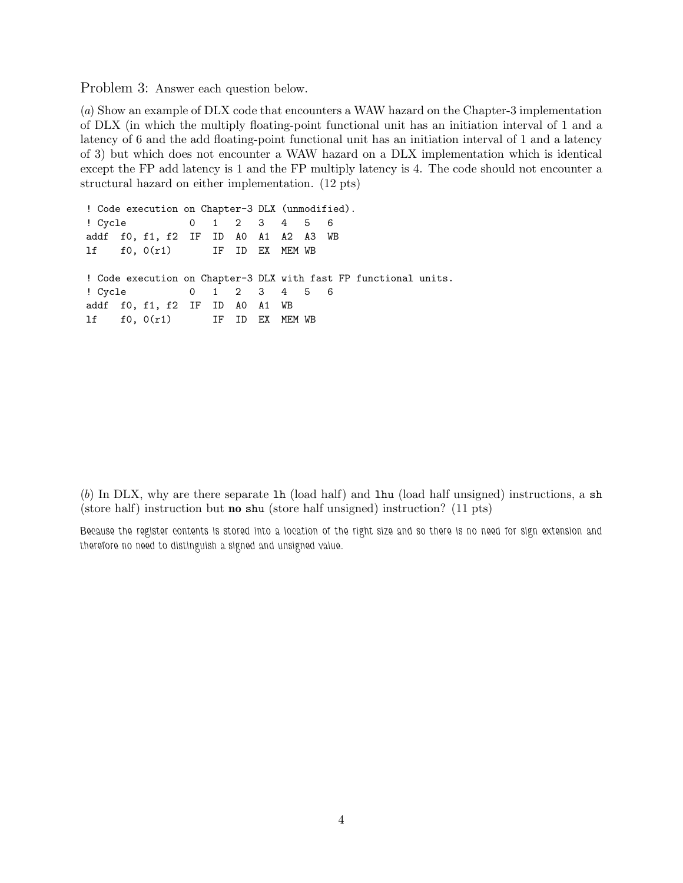Problem 3: Answer each question below.

(a) Show an example of DLX code that encounters a WAW hazard on the Chapter-3 implementation of DLX (in which the multiply floating-point functional unit has an initiation interval of 1 and a latency of 6 and the add floating-point functional unit has an initiation interval of 1 and a latency of 3) but which does not encounter a WAW hazard on a DLX implementation which is identical except the FP add latency is 1 and the FP multiply latency is 4. The code should not encounter a structural hazard on either implementation. (12 pts)

```
! Code execution on Chapter-3 DLX (unmodified).
! Cycle 0 1 2 3 4 5 6
addf f0, f1, f2 IF ID A0 A1 A2 A3 WB
lf f0, 0(r1) IF ID EX MEM WB
! Code execution on Chapter-3 DLX with fast FP functional units.
! Cycle 0123456
addf f0, f1, f2 IF ID A0 A1 WB
lf f0, 0(r1) IF ID EX MEM WB
```
(b) In DLX, why are there separate lh (load half) and lhu (load half unsigned) instructions, a sh (store half) instruction but **no** shu (store half unsigned) instruction? (11 pts)

*Because the register contents is stored into a location of the right size and so there is no need for sign extension and therefore no need to distinguish a signed and unsigned value.*